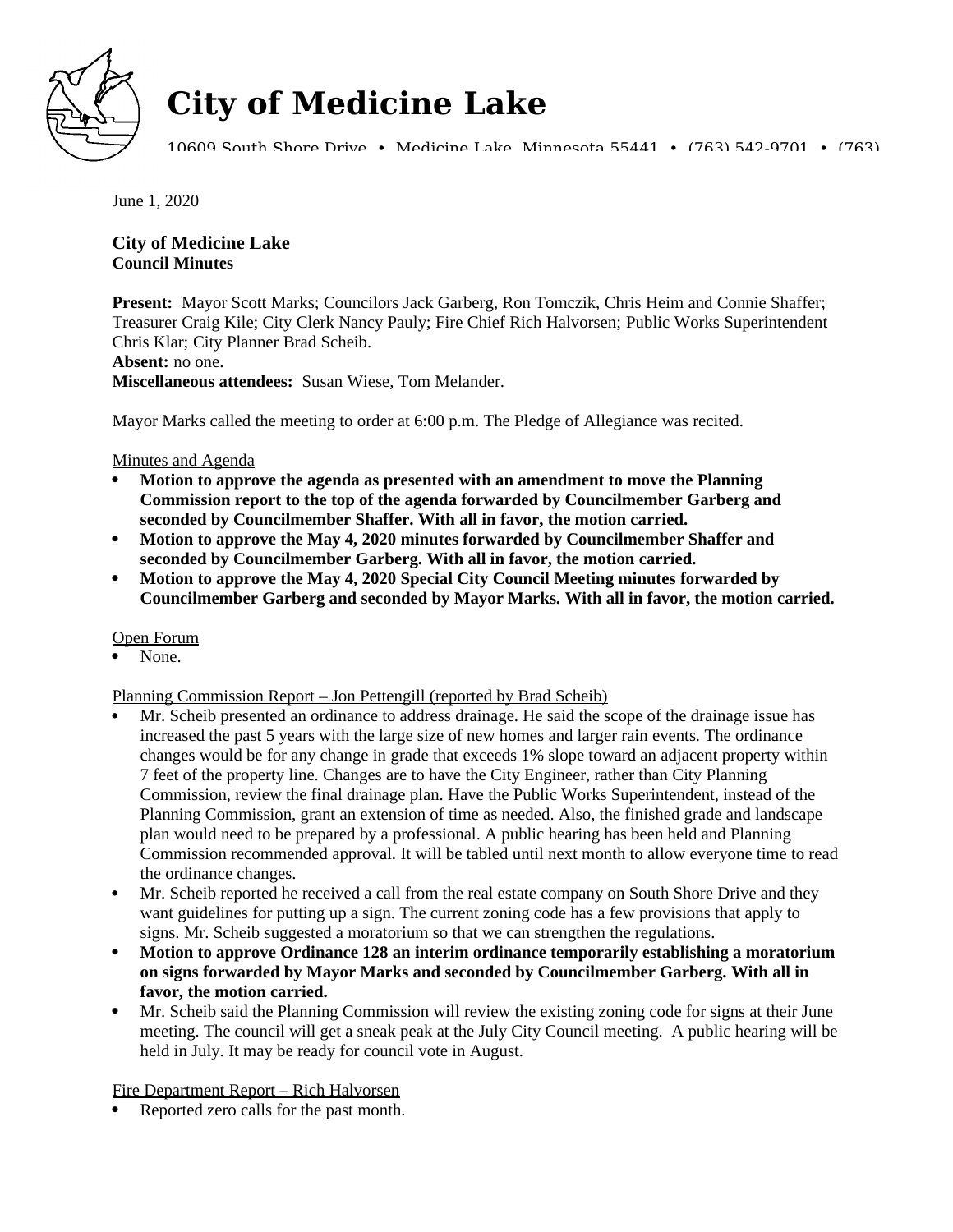

# **City of Medicine Lake**

10609 South Shore Drive • Medicine Lake, Minnesota 55441 • (763) 542-9701 • (763)

June 1, 2020

## **City of Medicine Lake Council Minutes**

**Present:** Mayor Scott Marks; Councilors Jack Garberg, Ron Tomczik, Chris Heim and Connie Shaffer; Treasurer Craig Kile; City Clerk Nancy Pauly; Fire Chief Rich Halvorsen; Public Works Superintendent Chris Klar; City Planner Brad Scheib.

#### **Absent:** no one.

**Miscellaneous attendees:** Susan Wiese, Tom Melander.

Mayor Marks called the meeting to order at 6:00 p.m. The Pledge of Allegiance was recited.

Minutes and Agenda

- **Motion to approve the agenda as presented with an amendment to move the Planning Commission report to the top of the agenda forwarded by Councilmember Garberg and seconded by Councilmember Shaffer. With all in favor, the motion carried.**
- **Motion to approve the May 4, 2020 minutes forwarded by Councilmember Shaffer and seconded by Councilmember Garberg. With all in favor, the motion carried.**
- **Motion to approve the May 4, 2020 Special City Council Meeting minutes forwarded by Councilmember Garberg and seconded by Mayor Marks. With all in favor, the motion carried.**

Open Forum

None.

Planning Commission Report – Jon Pettengill (reported by Brad Scheib)

- Mr. Scheib presented an ordinance to address drainage. He said the scope of the drainage issue has increased the past 5 years with the large size of new homes and larger rain events. The ordinance changes would be for any change in grade that exceeds 1% slope toward an adjacent property within 7 feet of the property line. Changes are to have the City Engineer, rather than City Planning Commission, review the final drainage plan. Have the Public Works Superintendent, instead of the Planning Commission, grant an extension of time as needed. Also, the finished grade and landscape plan would need to be prepared by a professional. A public hearing has been held and Planning Commission recommended approval. It will be tabled until next month to allow everyone time to read the ordinance changes.
- Mr. Scheib reported he received a call from the real estate company on South Shore Drive and they want guidelines for putting up a sign. The current zoning code has a few provisions that apply to signs. Mr. Scheib suggested a moratorium so that we can strengthen the regulations.
- **Motion to approve Ordinance 128 an interim ordinance temporarily establishing a moratorium on signs forwarded by Mayor Marks and seconded by Councilmember Garberg. With all in favor, the motion carried.**
- Mr. Scheib said the Planning Commission will review the existing zoning code for signs at their June meeting. The council will get a sneak peak at the July City Council meeting. A public hearing will be held in July. It may be ready for council vote in August.

Fire Department Report – Rich Halvorsen

Reported zero calls for the past month.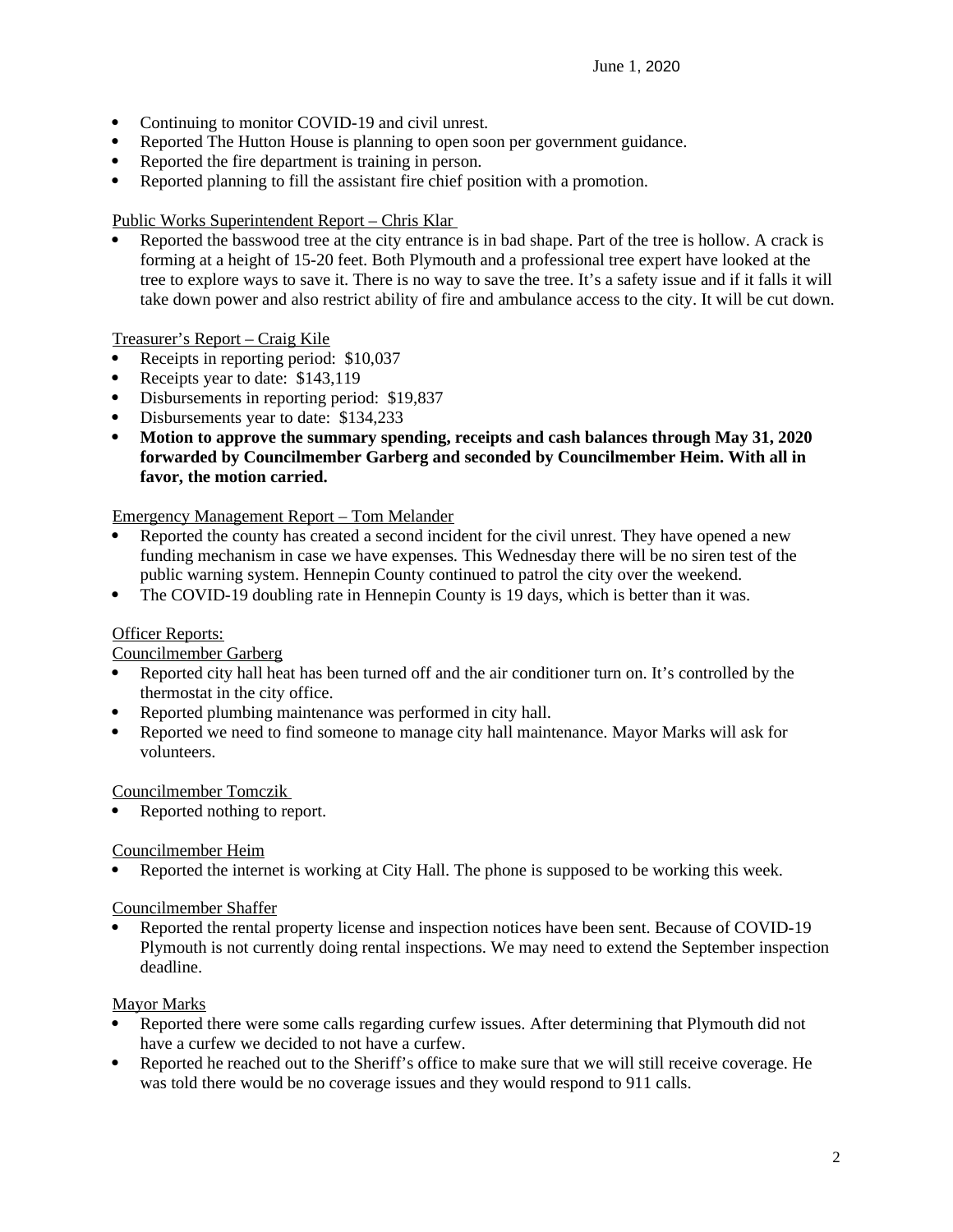- Continuing to monitor COVID-19 and civil unrest.
- Reported The Hutton House is planning to open soon per government guidance.
- Reported the fire department is training in person.
- Reported planning to fill the assistant fire chief position with a promotion.

Public Works Superintendent Report – Chris Klar

 Reported the basswood tree at the city entrance is in bad shape. Part of the tree is hollow. A crack is forming at a height of 15-20 feet. Both Plymouth and a professional tree expert have looked at the tree to explore ways to save it. There is no way to save the tree. It's a safety issue and if it falls it will take down power and also restrict ability of fire and ambulance access to the city. It will be cut down.

Treasurer's Report – Craig Kile

- Receipts in reporting period: \$10,037
- Receipts year to date: \$143,119
- Disbursements in reporting period: \$19,837
- Disbursements year to date: \$134,233
- **Motion to approve the summary spending, receipts and cash balances through May 31, 2020 forwarded by Councilmember Garberg and seconded by Councilmember Heim. With all in favor, the motion carried.**

Emergency Management Report – Tom Melander

- Reported the county has created a second incident for the civil unrest. They have opened a new funding mechanism in case we have expenses. This Wednesday there will be no siren test of the public warning system. Hennepin County continued to patrol the city over the weekend.
- The COVID-19 doubling rate in Hennepin County is 19 days, which is better than it was.

#### **Officer Reports:**

#### Councilmember Garberg

- Reported city hall heat has been turned off and the air conditioner turn on. It's controlled by the thermostat in the city office.
- Reported plumbing maintenance was performed in city hall.
- Reported we need to find someone to manage city hall maintenance. Mayor Marks will ask for volunteers.

Councilmember Tomczik

Reported nothing to report.

#### Councilmember Heim

Reported the internet is working at City Hall. The phone is supposed to be working this week.

#### Councilmember Shaffer

 Reported the rental property license and inspection notices have been sent. Because of COVID-19 Plymouth is not currently doing rental inspections. We may need to extend the September inspection deadline.

#### Mayor Marks

- Reported there were some calls regarding curfew issues. After determining that Plymouth did not have a curfew we decided to not have a curfew.
- Reported he reached out to the Sheriff's office to make sure that we will still receive coverage. He was told there would be no coverage issues and they would respond to 911 calls.